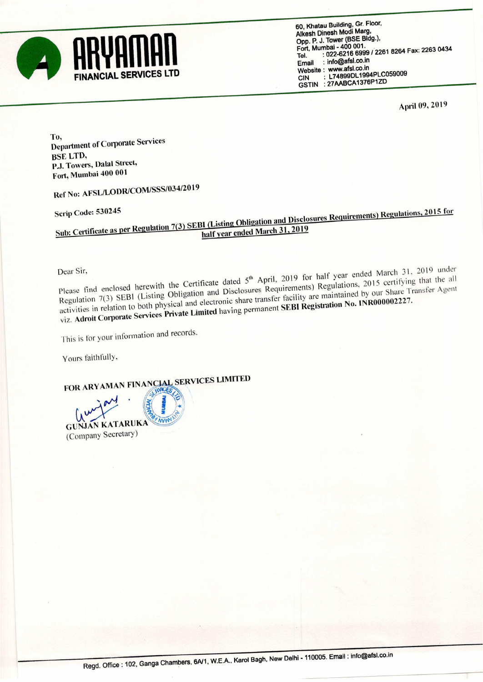

60. Khatau Building, Gr. Floor, Alkesh Dinesh Modi Marg, Opp. P. J. Tower (BSE Bldg.). Fort. Mumbai - 400 001. , Tel. : 022-6216 6999/ <sup>2261</sup> <sup>8264</sup> Fax: <sup>2263</sup> <sup>0434</sup> L74899DL1994PLC059009 GSTIN : 27AABCA1376P1ZD

April 09, <sup>2019</sup>

To, Department of Corporate Services BSE LTD, PJ. Towers, Dalal Street, Fort, Mumbai <sup>400</sup> <sup>001</sup>

Ref No: AFSL/LODR/COM/SSS/034/20l9

Scrip Code: 530245<br>Sub: Certificate as per Regulation 7(3) SEBI (Listing Obligation and Disclosures Requirements) Regulations, 2015 for<br>half year ended March 31, 2019

Dear Sir,<br>Please find enclosed herewith the Certificate dated 5<sup>th</sup> April, 2019 for half year ended March 31, 2019 under<br>meintained by our Share Transfer Agent Regulation 7(3) SEBI (Listing Obligation and Disclosures Requirements) Regulations, 2015 certifying that the all activities in relation to both physical and electronic share transfer facility are maintained by our Share Transfer Agent viz. Adroit Corporate Services Private Limited having permanent SEBI Registration No. INR000002227.

This is for your information and records.

Yours faithfully.

FOR ARYAMAN FINANCIAL SERVICES LIMITED

 $\hat{\mathcal{Q}}$ 

'«

/

 $204 \cdot 80$ **INCLAY** 1191  $\overline{\phantom{a}}$ **MUM** GUNJAN KATARUKA (Company Secretary)